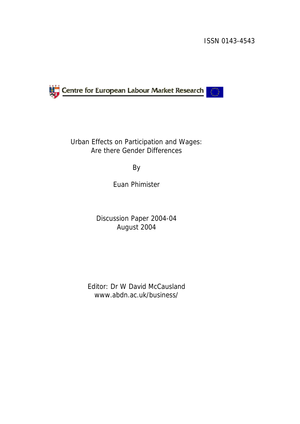# ISSN 0143-4543



Urban Effects on Participation and Wages: Are there Gender Differences

By

Euan Phimister

Discussion Paper 2004-04 August 2004

Editor: Dr W David McCausland www.abdn.ac.uk/business/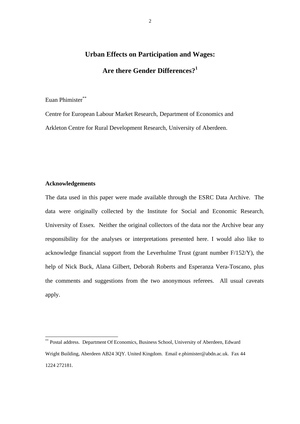# **Urban Effects on Participation and Wages: Are there Gender Differences?<sup>1</sup>**

Euan Phimister\*\*

[Centre for Europe](#page-1-0)an Labour Market Research, Department of Economics and Arkleton Centre for Rural Development Research, University of Aberdeen.

## **Acknowledgements**

l

The data used in this paper were made available through the ESRC Data Archive. The data were originally collected by the Institute for Social and Economic Research, University of Essex. Neither the original collectors of the data nor the Archive bear any responsibility for the analyses or interpretations presented here. I would also like to acknowledge financial support from the Leverhulme Trust (grant number F/152/Y), the help of Nick Buck, Alana Gilbert, Deborah Roberts and Esperanza Vera-Toscano, plus the comments and suggestions from the two anonymous referees. All usual caveats apply.

<span id="page-1-0"></span><sup>\*\*</sup> Postal address. Department Of Economics, Business School, University of Aberdeen, Edward Wright Building, Aberdeen AB24 3QY. United Kingdom. Email e.phimister@abdn.ac.uk. Fax 44 1224 272181.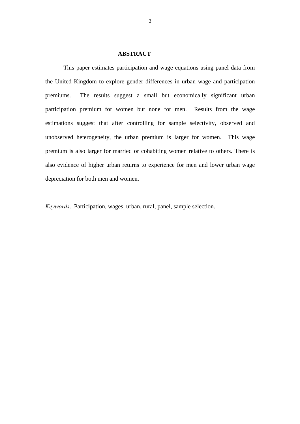## **ABSTRACT**

This paper estimates participation and wage equations using panel data from the United Kingdom to explore gender differences in urban wage and participation premiums. The results suggest a small but economically significant urban participation premium for women but none for men. Results from the wage estimations suggest that after controlling for sample selectivity, observed and unobserved heterogeneity, the urban premium is larger for women. This wage premium is also larger for married or cohabiting women relative to others. There is also evidence of higher urban returns to experience for men and lower urban wage depreciation for both men and women.

*Keywords*. Participation, wages, urban, rural, panel, sample selection.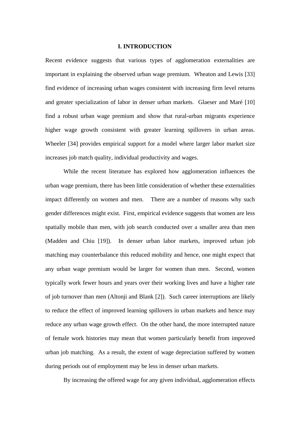## **I. INTRODUCTION**

Recent evidence suggests that various types of agglomeration externalities are important in explaining the observed urban wage premium. Wheaton and Lewis [33] find evidence of increasing urban wages consistent with increasing firm level returns and greater specialization of labor in denser urban markets. Glaeser and Maré [10] find a robust urban wage premium and show that rural-urban migrants experience higher wage growth consistent with greater learning spillovers in urban areas. Wheeler [34] provides empirical support for a model where larger labor market size increases job match quality, individual productivity and wages.

While the recent literature has explored how agglomeration influences the urban wage premium, there has been little consideration of whether these externalities impact differently on women and men. There are a number of reasons why such gender differences might exist. First, empirical evidence suggests that women are less spatially mobile than men, with job search conducted over a smaller area than men (Madden and Chiu [19]). In denser urban labor markets, improved urban job matching may counterbalance this reduced mobility and hence, one might expect that any urban wage premium would be larger for women than men. Second, women typically work fewer hours and years over their working lives and have a higher rate of job turnover than men (Altonji and Blank [2]). Such career interruptions are likely to reduce the effect of improved learning spillovers in urban markets and hence may reduce any urban wage growth effect. On the other hand, the more interrupted nature of female work histories may mean that women particularly benefit from improved urban job matching. As a result, the extent of wage depreciation suffered by women during periods out of employment may be less in denser urban markets.

By increasing the offered wage for any given individual, agglomeration effects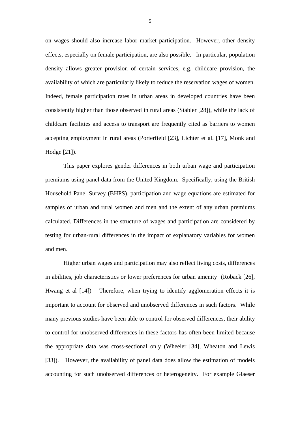on wages should also increase labor market participation. However, other density effects, especially on female participation, are also possible. In particular, population density allows greater provision of certain services, e.g. childcare provision, the availability of which are particularly likely to reduce the reservation wages of women. Indeed, female participation rates in urban areas in developed countries have been consistently higher than those observed in rural areas (Stabler [28]), while the lack of childcare facilities and access to transport are frequently cited as barriers to women accepting employment in rural areas (Porterfield [23], Lichter et al. [17], Monk and Hodge [21]).

This paper explores gender differences in both urban wage and participation premiums using panel data from the United Kingdom. Specifically, using the British Household Panel Survey (BHPS), participation and wage equations are estimated for samples of urban and rural women and men and the extent of any urban premiums calculated. Differences in the structure of wages and participation are considered by testing for urban-rural differences in the impact of explanatory variables for women and men.

Higher urban wages and participation may also reflect living costs, differences in abilities, job characteristics or lower preferences for urban amenity (Roback [26], Hwang et al [14]) Therefore, when trying to identify agglomeration effects it is important to account for observed and unobserved differences in such factors. While many previous studies have been able to control for observed differences, their ability to control for unobserved differences in these factors has often been limited because the appropriate data was cross-sectional only (Wheeler [34], Wheaton and Lewis [33]). However, the availability of panel data does allow the estimation of models accounting for such unobserved differences or heterogeneity. For example Glaeser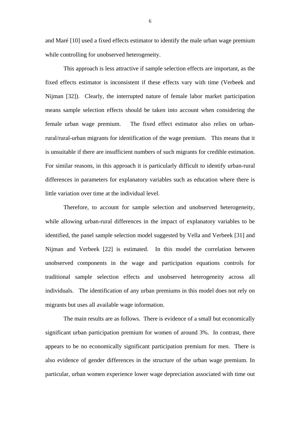and Maré [10] used a fixed effects estimator to identify the male urban wage premium while controlling for unobserved heterogeneity.

This approach is less attractive if sample selection effects are important, as the fixed effects estimator is inconsistent if these effects vary with time (Verbeek and Nijman [32]). Clearly, the interrupted nature of female labor market participation means sample selection effects should be taken into account when considering the female urban wage premium. The fixed effect estimator also relies on urbanrural/rural-urban migrants for identification of the wage premium. This means that it is unsuitable if there are insufficient numbers of such migrants for credible estimation. For similar reasons, in this approach it is particularly difficult to identify urban-rural differences in parameters for explanatory variables such as education where there is little variation over time at the individual level.

Therefore, to account for sample selection and unobserved heterogeneity, while allowing urban-rural differences in the impact of explanatory variables to be identified, the panel sample selection model suggested by Vella and Verbeek [31] and Nijman and Verbeek [22] is estimated. In this model the correlation between unobserved components in the wage and participation equations controls for traditional sample selection effects and unobserved heterogeneity across all individuals. The identification of any urban premiums in this model does not rely on migrants but uses all available wage information.

The main results are as follows. There is evidence of a small but economically significant urban participation premium for women of around 3%. In contrast, there appears to be no economically significant participation premium for men. There is also evidence of gender differences in the structure of the urban wage premium. In particular, urban women experience lower wage depreciation associated with time out

6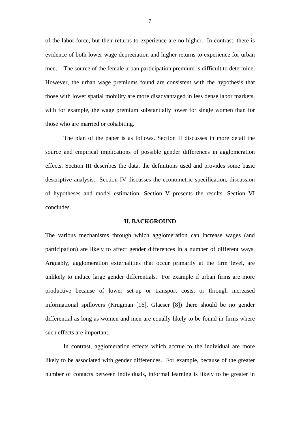of the labor force, but their returns to experience are no higher. In contrast, there is evidence of both lower wage depreciation and higher returns to experience for urban men. The source of the female urban participation premium is difficult to determine. However, the urban wage premiums found are consistent with the hypothesis that those with lower spatial mobility are more disadvantaged in less dense labor markets, with for example, the wage premium substantially lower for single women than for those who are married or cohabiting.

The plan of the paper is as follows. Section II discusses in more detail the source and empirical implications of possible gender differences in agglomeration effects. Section III describes the data, the definitions used and provides some basic descriptive analysis. Section IV discusses the econometric specification, discussion of hypotheses and model estimation. Section V presents the results. Section VI concludes.

#### **II. BACKGROUND**

The various mechanisms through which agglomeration can increase wages (and participation) are likely to affect gender differences in a number of different ways. Arguably, agglomeration externalities that occur primarily at the firm level, are unlikely to induce large gender differentials. For example if urban firms are more productive because of lower set-up or transport costs, or through increased informational spillovers (Krugman [16], Glaeser [8]) there should be no gender differential as long as women and men are equally likely to be found in firms where such effects are important.

 In contrast, agglomeration effects which accrue to the individual are more likely to be associated with gender differences. For example, because of the greater number of contacts between individuals, informal learning is likely to be greater in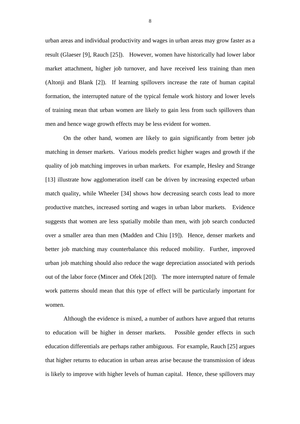urban areas and individual productivity and wages in urban areas may grow faster as a result (Glaeser [9], Rauch [25]). However, women have historically had lower labor market attachment, higher job turnover, and have received less training than men (Altonji and Blank [2]). If learning spillovers increase the rate of human capital formation, the interrupted nature of the typical female work history and lower levels of training mean that urban women are likely to gain less from such spillovers than men and hence wage growth effects may be less evident for women.

On the other hand, women are likely to gain significantly from better job matching in denser markets. Various models predict higher wages and growth if the quality of job matching improves in urban markets. For example, Hesley and Strange [13] illustrate how agglomeration itself can be driven by increasing expected urban match quality, while Wheeler [34] shows how decreasing search costs lead to more productive matches, increased sorting and wages in urban labor markets. Evidence suggests that women are less spatially mobile than men, with job search conducted over a smaller area than men (Madden and Chiu [19]). Hence, denser markets and better job matching may counterbalance this reduced mobility. Further, improved urban job matching should also reduce the wage depreciation associated with periods out of the labor force (Mincer and Ofek [20]). The more interrupted nature of female work patterns should mean that this type of effect will be particularly important for women.

Although the evidence is mixed, a number of authors have argued that returns to education will be higher in denser markets. Possible gender effects in such education differentials are perhaps rather ambiguous. For example, Rauch [25] argues that higher returns to education in urban areas arise because the transmission of ideas is likely to improve with higher levels of human capital. Hence, these spillovers may

8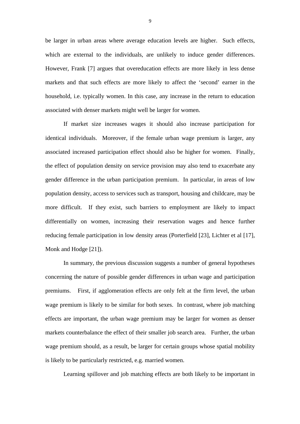be larger in urban areas where average education levels are higher. Such effects, which are external to the individuals, are unlikely to induce gender differences. However, Frank [7] argues that overeducation effects are more likely in less dense markets and that such effects are more likely to affect the 'second' earner in the household, i.e. typically women. In this case, any increase in the return to education associated with denser markets might well be larger for women.

If market size increases wages it should also increase participation for identical individuals. Moreover, if the female urban wage premium is larger, any associated increased participation effect should also be higher for women. Finally, the effect of population density on service provision may also tend to exacerbate any gender difference in the urban participation premium. In particular, in areas of low population density, access to services such as transport, housing and childcare, may be more difficult. If they exist, such barriers to employment are likely to impact differentially on women, increasing their reservation wages and hence further reducing female participation in low density areas (Porterfield [23], Lichter et al [17], Monk and Hodge [21]).

 In summary, the previous discussion suggests a number of general hypotheses concerning the nature of possible gender differences in urban wage and participation premiums. First, if agglomeration effects are only felt at the firm level, the urban wage premium is likely to be similar for both sexes. In contrast, where job matching effects are important, the urban wage premium may be larger for women as denser markets counterbalance the effect of their smaller job search area. Further, the urban wage premium should, as a result, be larger for certain groups whose spatial mobility is likely to be particularly restricted, e.g. married women.

Learning spillover and job matching effects are both likely to be important in

9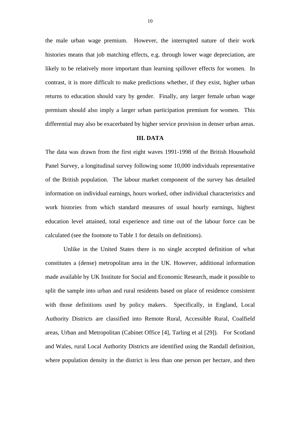the male urban wage premium. However, the interrupted nature of their work histories means that job matching effects, e.g. through lower wage depreciation, are likely to be relatively more important than learning spillover effects for women. In contrast, it is more difficult to make predictions whether, if they exist, higher urban returns to education should vary by gender. Finally, any larger female urban wage premium should also imply a larger urban participation premium for women. This differential may also be exacerbated by higher service provision in denser urban areas.

#### **III. DATA**

The data was drawn from the first eight waves 1991-1998 of the British Household Panel Survey, a longitudinal survey following some 10,000 individuals representative of the British population. The labour market component of the survey has detailed information on individual earnings, hours worked, other individual characteristics and work histories from which standard measures of usual hourly earnings, highest education level attained, total experience and time out of the labour force can be calculated (see the footnote to Table 1 for details on definitions).

Unlike in the United States there is no single accepted definition of what constitutes a (dense) metropolitan area in the UK. However, additional information made available by UK Institute for Social and Economic Research, made it possible to split the sample into urban and rural residents based on place of residence consistent with those definitions used by policy makers. Specifically, in England, Local Authority Districts are classified into Remote Rural, Accessible Rural, Coalfield areas, Urban and Metropolitan (Cabinet Office [4], Tarling et al [29]). For Scotland and Wales, rural Local Authority Districts are identified using the Randall definition, where population density in the district is less than one person per hectare, and then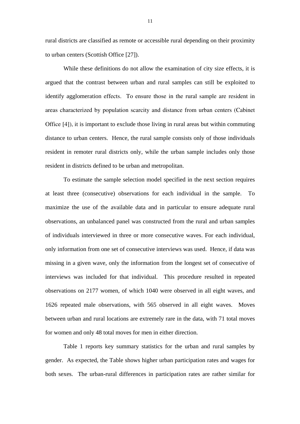rural districts are classified as remote or accessible rural depending on their proximity to urban centers (Scottish Office [27]).

While these definitions do not allow the examination of city size effects, it is argued that the contrast between urban and rural samples can still be exploited to identify agglomeration effects. To ensure those in the rural sample are resident in areas characterized by population scarcity and distance from urban centers (Cabinet Office [4]), it is important to exclude those living in rural areas but within commuting distance to urban centers. Hence, the rural sample consists only of those individuals resident in remoter rural districts only, while the urban sample includes only those resident in districts defined to be urban and metropolitan.

To estimate the sample selection model specified in the next section requires at least three (consecutive) observations for each individual in the sample. To maximize the use of the available data and in particular to ensure adequate rural observations, an unbalanced panel was constructed from the rural and urban samples of individuals interviewed in three or more consecutive waves. For each individual, only information from one set of consecutive interviews was used. Hence, if data was missing in a given wave, only the information from the longest set of consecutive of interviews was included for that individual. This procedure resulted in repeated observations on 2177 women, of which 1040 were observed in all eight waves, and 1626 repeated male observations, with 565 observed in all eight waves. Moves between urban and rural locations are extremely rare in the data, with 71 total moves for women and only 48 total moves for men in either direction.

Table 1 reports key summary statistics for the urban and rural samples by gender. As expected, the Table shows higher urban participation rates and wages for both sexes. The urban-rural differences in participation rates are rather similar for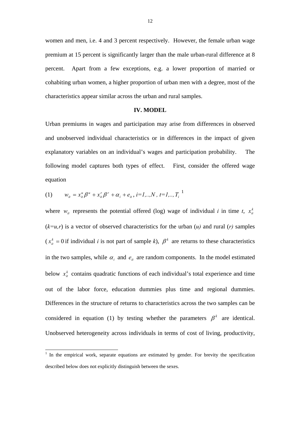women and men, i.e. 4 and 3 percent respectively. However, the female urban wage premium at 15 percent is significantly larger than the male urban-rural difference at 8 percent. Apart from a few exceptions, e.g. a lower proportion of married or cohabiting urban women, a higher proportion of urban men with a degree, most of the characteristics appear similar across the urban and rural samples.

#### **IV. MODEL**

Urban premiums in wages and participation may arise from differences in observed and unobserved individual characteristics or in differences in the impact of given explanatory variables on an individual's wages and participation probability. The following model captures both types of effect. First, consider the offered wage equation

(1) 
$$
w_{ii} = x_{ii}^u \beta^u + x_{ii}^r \beta^r + \alpha_i + e_{ii}, i = 1, ..., N, t = 1, ..., T_i
$$

where  $w_{it}$  represents the potential offered (log) wage of individual *i* in time *t*,  $x_{it}^k$  $(k=u,r)$  is a vector of observed characteristics for the urban  $(u)$  and rural  $(r)$  samples  $(x_{it}^k = 0$  if individual *i* is not part of sample *k*),  $\beta^k$  are returns to these characteristics in the two samples, while  $\alpha_i$  and  $e_i$  are random components. In the model estimated below  $x_{it}^{k}$  contains quadratic functions of each individual's total experience and time out of the labor force, education dummies plus time and regional dummies. Differences in the structure of returns to characteristics across the two samples can be considered in equation (1) by testing whether the parameters  $\beta^k$  are identical. Unobserved heterogeneity across individuals in terms of cost of living, productivity,

<span id="page-11-0"></span><sup>|&</sup>lt;br>|<br>| <sup>1</sup> In the empirical work, separate equations are estimated by gender. For brevity the specification described below does not explicitly distinguish between the sexes.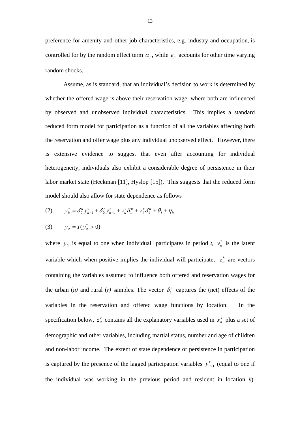preference for amenity and other job characteristics, e.g. industry and occupation, is controlled for by the random effect term  $\alpha_i$ , while  $e_i$  accounts for other time varying random shocks.

Assume, as is standard, that an individual's decision to work is determined by whether the offered wage is above their reservation wage, where both are influenced by observed and unobserved individual characteristics. This implies a standard reduced form model for participation as a function of all the variables affecting both the reservation and offer wage plus any individual unobserved effect. However, there is extensive evidence to suggest that even after accounting for individual heterogeneity, individuals also exhibit a considerable degree of persistence in their labor market state (Heckman [11], Hyslop [15]). This suggests that the reduced form model should also allow for state dependence as follows

(2) 
$$
y_{it}^* = \delta_0^u y_{it-1}^u + \delta_0^r y_{it-1}^r + z_{it}^u \delta_1^u + z_{it}^r \delta_1^u + \theta_i + \eta_{it}
$$

$$
(3) \qquad y_{it} = I(y_{it}^* > 0)
$$

where  $y_{it}$  is equal to one when individual participates in period *t*,  $y_{it}^{*}$  is the latent variable which when positive implies the individual will participate,  $z_{ii}^{k}$  are vectors containing the variables assumed to influence both offered and reservation wages for the urban (*u*) and rural (*r*) samples. The vector  $\delta_1^u$  captures the (net) effects of the variables in the reservation and offered wage functions by location. In the specification below,  $z_i^k$  contains all the explanatory variables used in  $x_i^k$  plus a set of demographic and other variables, including martial status, number and age of children and non-labor income. The extent of state dependence or persistence in participation is captured by the presence of the lagged participation variables  $y_{i-1}^k$  (equal to one if the individual was working in the previous period and resident in location  $k$ ).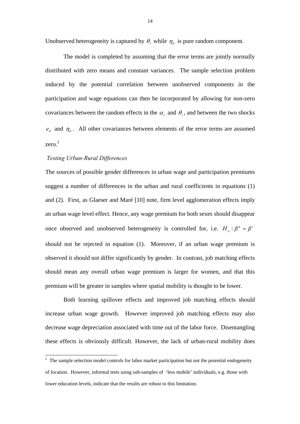Unobserved heterogeneity is captured by  $\theta_i$  while  $\eta_i$  is pure random component.

The model is completed by assuming that the error terms are jointly normally distributed with zero means and constant variances. The sample selection problem induced by the potential correlation between unobserved components in the participation and wage equations can then be incorporated by allowing for non-zero covariances between the random effects in the  $\alpha_i$  and  $\theta_i$ , and between the two shocks  $e_{it}$  and  $\eta_{it}$ . All other covariances between elements of the error terms are assumed  $zero.<sup>2</sup>$  $zero.<sup>2</sup>$  $zero.<sup>2</sup>$ 

## *Testing Urban-Rural Differences*

The sources of possible gender differences in urban wage and participation premiums suggest a number of differences in the urban and rural coefficients in equations (1) and (2). First, as Glaeser and Maré [10] note, firm level agglomeration effects imply an urban wage level effect. Hence, any wage premium for both sexes should disappear once observed and unobserved heterogeneity is controlled for, i.e.  $H_o: \beta^u = \beta^v$ should not be rejected in equation (1). Moreover, if an urban wage premium is observed it should not differ significantly by gender. In contrast, job matching effects should mean any overall urban wage premium is larger for women, and that this premium will be greater in samples where spatial mobility is thought to be lower.

Both learning spillover effects and improved job matching effects should increase urban wage growth. However improved job matching effects may also decrease wage depreciation associated with time out of the labor force. Disentangling these effects is obviously difficult. However, the lack of urban-rural mobility does

<span id="page-13-0"></span><sup>&</sup>lt;sup>2</sup>  $2\degree$  The sample selection model controls for labor market participation but not the potential endogeneity of location. However, informal tests using sub-samples of 'less mobile' individuals, e.g. those with lower education levels, indicate that the results are robust to this limitation.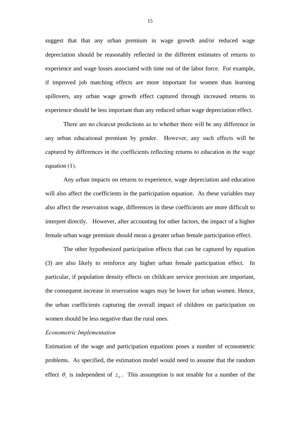suggest that that any urban premium in wage growth and/or reduced wage depreciation should be reasonably reflected in the different estimates of returns to experience and wage losses associated with time out of the labor force. For example, if improved job matching effects are more important for women than learning spillovers, any urban wage growth effect captured through increased returns to experience should be less important than any reduced urban wage depreciation effect.

There are no clearcut predictions as to whether there will be any difference in any urban educational premium by gender. However, any such effects will be captured by differences in the coefficients reflecting returns to education in the wage equation (1).

Any urban impacts on returns to experience, wage depreciation and education will also affect the coefficients in the participation equation. As these variables may also affect the reservation wage, differences in these coefficients are more difficult to interpret directly. However, after accounting for other factors, the impact of a higher female urban wage premium should mean a greater urban female participation effect.

The other hypothesized participation effects that can be captured by equation (3) are also likely to reinforce any higher urban female participation effect. In particular, if population density effects on childcare service provision are important, the consequent increase in reservation wages may be lower for urban women. Hence, the urban coefficients capturing the overall impact of children on participation on women should be less negative than the rural ones.

## *Econometric Implementation*

Estimation of the wage and participation equations poses a number of econometric problems. As specified, the estimation model would need to assume that the random effect  $\theta_i$  is independent of  $z_i$ . This assumption is not tenable for a number of the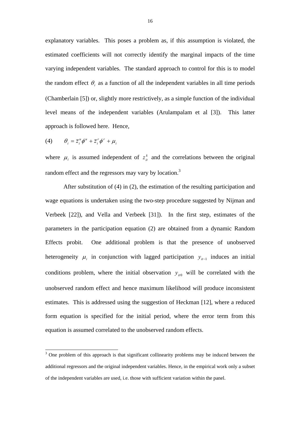explanatory variables. This poses a problem as, if this assumption is violated, the estimated coefficients will not correctly identify the marginal impacts of the time varying independent variables. The standard approach to control for this is to model the random effect  $\theta_i$  as a function of all the independent variables in all time periods (Chamberlain [5]) or, slightly more restrictively, as a simple function of the individual level means of the independent variables (Arulampalam et al [3]). This latter approach is followed here. Hence,

$$
(4) \qquad \theta_i = \bar{z}_i^u \phi^u + \bar{z}_i^r \phi^r + \mu_i
$$

where  $\mu_i$  is assumed independent of  $z_i^k$  and the correlations between the original randomeffect and the regressors may vary by location.<sup>3</sup>

After substitution of (4) in (2), the estimation of the resulting participation and wage equations is undertaken using the two-step procedure suggested by Nijman and Verbeek [22]), and Vella and Verbeek [31]). In the first step, estimates of the parameters in the participation equation (2) are obtained from a dynamic Random Effects probit. One additional problem is that the presence of unobserved heterogeneity  $\mu_i$  in conjunction with lagged participation  $y_{i-1}$  induces an initial conditions problem, where the initial observation  $y_{i0}$  will be correlated with the unobserved random effect and hence maximum likelihood will produce inconsistent estimates. This is addressed using the suggestion of Heckman [12], where a reduced form equation is specified for the initial period, where the error term from this equation is assumed correlated to the unobserved random effects.

<span id="page-15-0"></span><sup>&</sup>lt;sup>2</sup><br>3  $3$  One problem of this approach is that significant collinearity problems may be induced between the additional regressors and the original independent variables. Hence, in the empirical work only a subset of the independent variables are used, i.e. those with sufficient variation within the panel.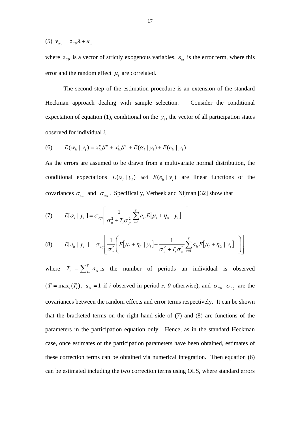(5)  $y_{it0} = z_{it0} \lambda + \varepsilon_{oi}$ 

where  $z_{it0}$  is a vector of strictly exogenous variables,  $\epsilon_{oi}$  is the error term, where this error and the random effect  $\mu_i$  are correlated.

The second step of the estimation procedure is an extension of the standard Heckman approach dealing with sample selection. Consider the conditional expectation of equation (1), conditional on the  $y_i$ , the vector of all participation states observed for individual *i*,

(6) 
$$
E(w_{it} | y_i) = x_{it}^u \beta^u + x_{it}^r \beta^r + E(\alpha_i | y_i) + E(e_{it} | y_i).
$$

As the errors are assumed to be drawn from a multivariate normal distribution, the conditional expectations  $E(\alpha_i | y_i)$  and  $E(e_i | y_i)$  are linear functions of the covariances  $\sigma_{\alpha\mu}$  and  $\sigma_{e\eta}$ . Specifically, Verbeek and Nijman [32] show that

(7) 
$$
E[\alpha_i | y_i] = \sigma_{\alpha\mu} \left[ \frac{1}{\sigma_{\eta}^2 + T_i \sigma_{\mu}^2} \sum_{s=1}^T a_{is} E[\mu_i + \eta_{is} | y_i] \right]
$$

(8) 
$$
E[e_{it} | y_i] = \sigma_{e\eta} \left[ \frac{1}{\sigma_{\eta}^2} \left( E[\mu_i + \eta_{it} | y_i] - \frac{1}{\sigma_{\eta}^2 + T_i \sigma_{\mu}^2} \sum_{s=1}^T a_{is} E[\mu_i + \eta_{is} | y_i] \right) \right]
$$

where  $T_i = \sum_{s=1}^T a_{is}$  is the number of periods an individual is observed  $(T = \max_i(T_i)$ ,  $a_{is} = 1$  if *i* observed in period *s*, *0* otherwise), and  $\sigma_{\alpha\mu}$   $\sigma_{\epsilon\eta}$  are the covariances between the random effects and error terms respectively. It can be shown that the bracketed terms on the right hand side of (7) and (8) are functions of the parameters in the participation equation only. Hence, as in the standard Heckman case, once estimates of the participation parameters have been obtained, estimates of these correction terms can be obtained via numerical integration. Then equation (6) can be estimated including the two correction terms using OLS, where standard errors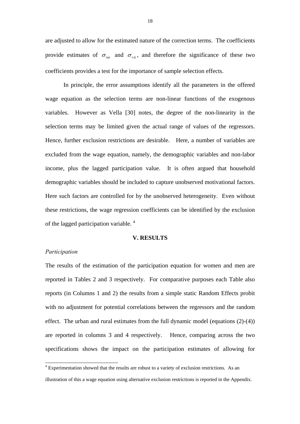are adjusted to allow for the estimated nature of the correction terms. The coefficients provide estimates of  $\sigma_{\alpha\mu}$  and  $\sigma_{e\eta}$ , and therefore the significance of these two coefficients provides a test for the importance of sample selection effects.

In principle, the error assumptions identify all the parameters in the offered wage equation as the selection terms are non-linear functions of the exogenous variables. However as Vella [30] notes, the degree of the non-linearity in the selection terms may be limited given the actual range of values of the regressors. Hence, further exclusion restrictions are desirable. Here, a number of variables are excluded from the wage equation, namely, the demographic variables and non-labor income, plus the lagged participation value. It is often argued that household demographic variables should be included to capture unobserved motivational factors. Here such factors are controlled for by the unobserved heterogeneity. Even without these restrictions, the wage regression coefficients can be identified by the exclusion of the lagged participation variable. [4](#page-17-0)

#### **V. RESULTS**

## *Participation*

The results of the estimation of the participation equation for women and men are reported in Tables 2 and 3 respectively. For comparative purposes each Table also reports (in Columns 1 and 2) the results from a simple static Random Effects probit with no adjustment for potential correlations between the regressors and the random effect. The urban and rural estimates from the full dynamic model (equations (2)-(4)) are reported in columns 3 and 4 respectively. Hence, comparing across the two specifications shows the impact on the participation estimates of allowing for

<span id="page-17-0"></span> <sup>4</sup> <sup>4</sup> Experimentation showed that the results are robust to a variety of exclusion restrictions. As an illustration of this a wage equation using alternative exclusion restrictions is reported in the Appendix.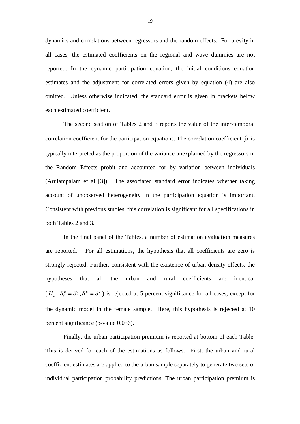dynamics and correlations between regressors and the random effects. For brevity in all cases, the estimated coefficients on the regional and wave dummies are not reported. In the dynamic participation equation, the initial conditions equation estimates and the adjustment for correlated errors given by equation (4) are also omitted. Unless otherwise indicated, the standard error is given in brackets below each estimated coefficient.

The second section of Tables 2 and 3 reports the value of the inter-temporal correlation coefficient for the participation equations. The correlation coefficient  $\hat{\rho}$  is typically interpreted as the proportion of the variance unexplained by the regressors in the Random Effects probit and accounted for by variation between individuals (Arulampalam et al [3]). The associated standard error indicates whether taking account of unobserved heterogeneity in the participation equation is important. Consistent with previous studies, this correlation is significant for all specifications in both Tables 2 and 3.

In the final panel of the Tables, a number of estimation evaluation measures are reported. For all estimations, the hypothesis that all coefficients are zero is strongly rejected. Further, consistent with the existence of urban density effects, the hypotheses that all the urban and rural coefficients are identical  $(H_o: \delta_0^u = \delta_0^r, \delta_1^u = \delta_1^r)$  is rejected at 5 percent significance for all cases, except for the dynamic model in the female sample. Here, this hypothesis is rejected at 10 percent significance (p-value 0.056).

Finally, the urban participation premium is reported at bottom of each Table. This is derived for each of the estimations as follows. First, the urban and rural coefficient estimates are applied to the urban sample separately to generate two sets of individual participation probability predictions. The urban participation premium is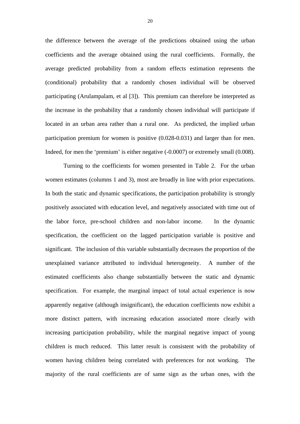the difference between the average of the predictions obtained using the urban coefficients and the average obtained using the rural coefficients. Formally, the average predicted probability from a random effects estimation represents the (conditional) probability that a randomly chosen individual will be observed participating (Arulampalam, et al [3]). This premium can therefore be interpreted as the increase in the probability that a randomly chosen individual will participate if located in an urban area rather than a rural one. As predicted, the implied urban participation premium for women is positive (0.028-0.031) and larger than for men. Indeed, for men the 'premium' is either negative (-0.0007) or extremely small (0.008).

Turning to the coefficients for women presented in Table 2. For the urban women estimates (columns 1 and 3), most are broadly in line with prior expectations. In both the static and dynamic specifications, the participation probability is strongly positively associated with education level, and negatively associated with time out of the labor force, pre-school children and non-labor income. In the dynamic specification, the coefficient on the lagged participation variable is positive and significant. The inclusion of this variable substantially decreases the proportion of the unexplained variance attributed to individual heterogeneity. A number of the estimated coefficients also change substantially between the static and dynamic specification. For example, the marginal impact of total actual experience is now apparently negative (although insignificant), the education coefficients now exhibit a more distinct pattern, with increasing education associated more clearly with increasing participation probability, while the marginal negative impact of young children is much reduced. This latter result is consistent with the probability of women having children being correlated with preferences for not working. The majority of the rural coefficients are of same sign as the urban ones, with the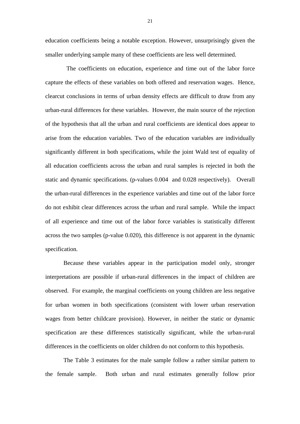education coefficients being a notable exception. However, unsurprisingly given the smaller underlying sample many of these coefficients are less well determined.

 The coefficients on education, experience and time out of the labor force capture the effects of these variables on both offered and reservation wages. Hence, clearcut conclusions in terms of urban density effects are difficult to draw from any urban-rural differences for these variables. However, the main source of the rejection of the hypothesis that all the urban and rural coefficients are identical does appear to arise from the education variables. Two of the education variables are individually significantly different in both specifications, while the joint Wald test of equality of all education coefficients across the urban and rural samples is rejected in both the static and dynamic specifications. (p-values 0.004 and 0.028 respectively). Overall the urban-rural differences in the experience variables and time out of the labor force do not exhibit clear differences across the urban and rural sample. While the impact of all experience and time out of the labor force variables is statistically different across the two samples (p-value 0.020), this difference is not apparent in the dynamic specification.

Because these variables appear in the participation model only, stronger interpretations are possible if urban-rural differences in the impact of children are observed. For example, the marginal coefficients on young children are less negative for urban women in both specifications (consistent with lower urban reservation wages from better childcare provision). However, in neither the static or dynamic specification are these differences statistically significant, while the urban-rural differences in the coefficients on older children do not conform to this hypothesis.

The Table 3 estimates for the male sample follow a rather similar pattern to the female sample. Both urban and rural estimates generally follow prior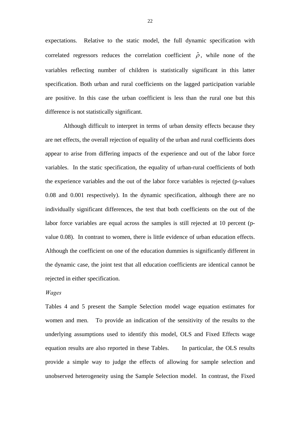expectations. Relative to the static model, the full dynamic specification with correlated regressors reduces the correlation coefficient  $\hat{\rho}$ , while none of the variables reflecting number of children is statistically significant in this latter specification. Both urban and rural coefficients on the lagged participation variable are positive. In this case the urban coefficient is less than the rural one but this difference is not statistically significant.

Although difficult to interpret in terms of urban density effects because they are net effects, the overall rejection of equality of the urban and rural coefficients does appear to arise from differing impacts of the experience and out of the labor force variables. In the static specification, the equality of urban-rural coefficients of both the experience variables and the out of the labor force variables is rejected (p-values 0.08 and 0.001 respectively). In the dynamic specification, although there are no individually significant differences, the test that both coefficients on the out of the labor force variables are equal across the samples is still rejected at 10 percent (pvalue 0.08). In contrast to women, there is little evidence of urban education effects. Although the coefficient on one of the education dummies is significantly different in the dynamic case, the joint test that all education coefficients are identical cannot be rejected in either specification.

#### *Wages*

Tables 4 and 5 present the Sample Selection model wage equation estimates for women and men. To provide an indication of the sensitivity of the results to the underlying assumptions used to identify this model, OLS and Fixed Effects wage equation results are also reported in these Tables. In particular, the OLS results provide a simple way to judge the effects of allowing for sample selection and unobserved heterogeneity using the Sample Selection model. In contrast, the Fixed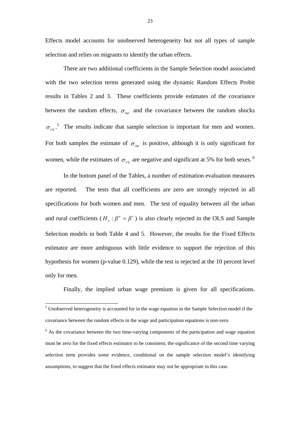Effects model accounts for unobserved heterogeneity but not all types of sample selection and relies on migrants to identify the urban effects.

There are two additional coefficients in the Sample Selection model associated with the two selection terms generated using the dynamic Random Effects Probit results in Tables 2 and 3. These coefficients provide estimates of the covariance between the random effects,  $\sigma_{\alpha\mu}$  and the covariance between the random shocks  $\sigma_{e\eta}$ <sup>[5](#page-22-0)</sup>. The results indicate that sample selection is important for men and women. For both samples the estimate of  $\sigma_{\alpha\mu}$  is positive, although it is only significant for women, while the estimates of  $\sigma_{e\eta}$  are negative and significant at 5% for both sexes.<sup>6</sup>

In the bottom panel of the Tables, a number of estimation evaluation measures are reported. The tests that all coefficients are zero are strongly rejected in all specifications for both women and men. The test of equality between all the urban and rural coefficients ( $H_o: \beta^u = \beta^r$ ) is also clearly rejected in the OLS and Sample Selection models in both Table 4 and 5. However, the results for the Fixed Effects estimator are more ambiguous with little evidence to support the rejection of this hypothesis for women (p-value 0.129), while the test is rejected at the 10 percent level only for men.

Finally, the implied urban wage premium is given for all specifications.

<span id="page-22-0"></span> <sup>5</sup> <sup>5</sup> Unobserved heterogeneity is accounted for in the wage equation in the Sample Selection model if the covariance between the random effects in the wage and participation equations is non-zero.

<span id="page-22-1"></span><sup>&</sup>lt;sup>6</sup> As the covariance between the two time-varying components of the participation and wage equation must be zero for the fixed effects estimator to be consistent, the significance of the second time varying selection term provides some evidence, conditional on the sample selection model's identifying assumptions, to suggest that the fixed effects estimator may not be appropriate in this case.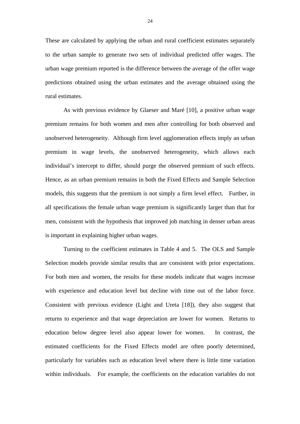These are calculated by applying the urban and rural coefficient estimates separately to the urban sample to generate two sets of individual predicted offer wages. The urban wage premium reported is the difference between the average of the offer wage predictions obtained using the urban estimates and the average obtained using the rural estimates.

As with previous evidence by Glaeser and Maré [10], a positive urban wage premium remains for both women and men after controlling for both observed and unobserved heterogeneity. Although firm level agglomeration effects imply an urban premium in wage levels, the unobserved heterogeneity, which allows each individual's intercept to differ, should purge the observed premium of such effects. Hence, as an urban premium remains in both the Fixed Effects and Sample Selection models, this suggests that the premium is not simply a firm level effect. Further, in all specifications the female urban wage premium is significantly larger than that for men, consistent with the hypothesis that improved job matching in denser urban areas is important in explaining higher urban wages.

 Turning to the coefficient estimates in Table 4 and 5. The OLS and Sample Selection models provide similar results that are consistent with prior expectations. For both men and women, the results for these models indicate that wages increase with experience and education level but decline with time out of the labor force. Consistent with previous evidence (Light and Ureta [18]), they also suggest that returns to experience and that wage depreciation are lower for women. Returns to education below degree level also appear lower for women. In contrast, the estimated coefficients for the Fixed Effects model are often poorly determined, particularly for variables such as education level where there is little time variation within individuals. For example, the coefficients on the education variables do not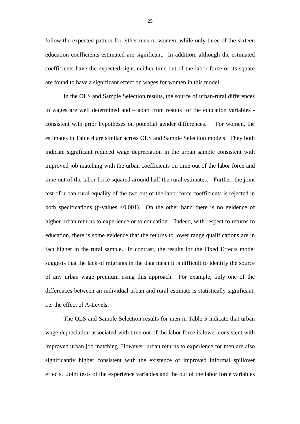follow the expected pattern for either men or women, while only three of the sixteen education coefficients estimated are significant. In addition, although the estimated coefficients have the expected signs neither time out of the labor force or its square are found to have a significant effect on wages for women in this model.

 In the OLS and Sample Selection results, the source of urban-rural differences in wages are well determined and – apart from results for the education variables consistent with prior hypotheses on potential gender differences. For women, the estimates in Table 4 are similar across OLS and Sample Selection models. They both indicate significant reduced wage depreciation in the urban sample consistent with improved job matching with the urban coefficients on time out of the labor force and time out of the labor force squared around half the rural estimates. Further, the joint test of urban-rural equality of the two out of the labor force coefficients is rejected in both specifications (p-values  $\leq 0.001$ ). On the other hand there is no evidence of higher urban returns to experience or to education. Indeed, with respect to returns to education, there is some evidence that the returns to lower range qualifications are in fact higher in the rural sample. In contrast, the results for the Fixed Effects model suggests that the lack of migrants in the data mean it is difficult to identify the source of any urban wage premium using this approach. For example, only one of the differences between an individual urban and rural estimate is statistically significant, i.e. the effect of A-Levels.

 The OLS and Sample Selection results for men in Table 5 indicate that urban wage depreciation associated with time out of the labor force is lower consistent with improved urban job matching. However, urban returns to experience for men are also significantly higher consistent with the existence of improved informal spillover effects. Joint tests of the experience variables and the out of the labor force variables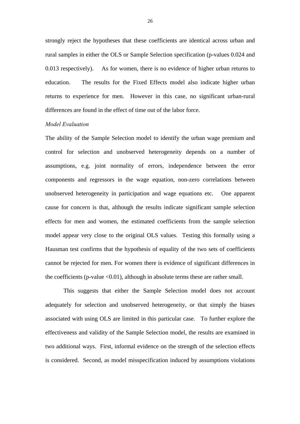strongly reject the hypotheses that these coefficients are identical across urban and rural samples in either the OLS or Sample Selection specification (p-values 0.024 and 0.013 respectively). As for women, there is no evidence of higher urban returns to education. The results for the Fixed Effects model also indicate higher urban returns to experience for men. However in this case, no significant urban-rural differences are found in the effect of time out of the labor force.

## *Model Evaluation*

The ability of the Sample Selection model to identify the urban wage premium and control for selection and unobserved heterogeneity depends on a number of assumptions, e.g. joint normality of errors, independence between the error components and regressors in the wage equation, non-zero correlations between unobserved heterogeneity in participation and wage equations etc. One apparent cause for concern is that, although the results indicate significant sample selection effects for men and women, the estimated coefficients from the sample selection model appear very close to the original OLS values. Testing this formally using a Hausman test confirms that the hypothesis of equality of the two sets of coefficients cannot be rejected for men. For women there is evidence of significant differences in the coefficients (p-value  $\leq 0.01$ ), although in absolute terms these are rather small.

This suggests that either the Sample Selection model does not account adequately for selection and unobserved heterogeneity, or that simply the biases associated with using OLS are limited in this particular case. To further explore the effectiveness and validity of the Sample Selection model, the results are examined in two additional ways. First, informal evidence on the strength of the selection effects is considered. Second, as model misspecification induced by assumptions violations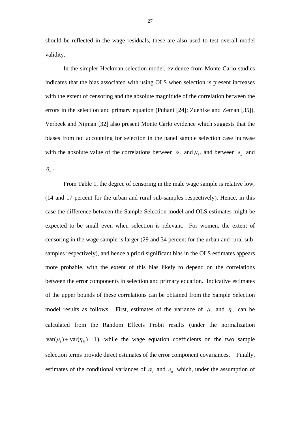should be reflected in the wage residuals, these are also used to test overall model validity.

In the simpler Heckman selection model, evidence from Monte Carlo studies indicates that the bias associated with using OLS when selection is present increases with the extent of censoring and the absolute magnitude of the correlation between the errors in the selection and primary equation (Puhani [24]; Zuehlke and Zeman [35]). Verbeek and Nijman [32] also present Monte Carlo evidence which suggests that the biases from not accounting for selection in the panel sample selection case increase with the absolute value of the correlations between  $\alpha_i$  and  $\mu_i$ , and between  $e_{it}$  and  $\eta_{\mu}$ .

From Table 1, the degree of censoring in the male wage sample is relative low, (14 and 17 percent for the urban and rural sub-samples respectively). Hence, in this case the difference between the Sample Selection model and OLS estimates might be expected to be small even when selection is relevant. For women, the extent of censoring in the wage sample is larger (29 and 34 percent for the urban and rural subsamples respectively), and hence a priori significant bias in the OLS estimates appears more probable, with the extent of this bias likely to depend on the correlations between the error components in selection and primary equation. Indicative estimates of the upper bounds of these correlations can be obtained from the Sample Selection model results as follows. First, estimates of the variance of  $\mu_i$  and  $\eta_i$  can be calculated from the Random Effects Probit results (under the normalization  $var(\mu_i) + var(\eta_{i}) = 1$ , while the wage equation coefficients on the two sample selection terms provide direct estimates of the error component covariances. Finally, estimates of the conditional variances of  $\alpha_i$  and  $e_i$  which, under the assumption of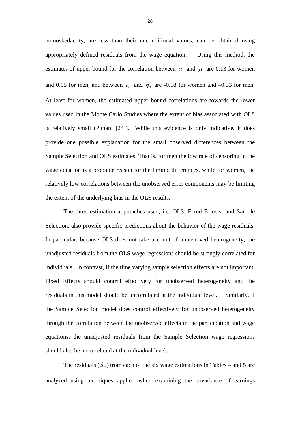homoskedactity, are less than their unconditional values, can be obtained using appropriately defined residuals from the wage equation. Using this method, the estimates of upper bound for the correlation between  $\alpha_i$  and  $\mu_i$  are 0.13 for women and 0.05 for men, and between  $e_{it}$  and  $\eta_{it}$  are -0.18 for women and -0.33 for men. At least for women, the estimated upper bound correlations are towards the lower values used in the Monte Carlo Studies where the extent of bias associated with OLS is relatively small (Puhani [24]). While this evidence is only indicative, it does provide one possible explanation for the small observed differences between the Sample Selection and OLS estimates. That is, for men the low rate of censoring in the wage equation is a probable reason for the limited differences, while for women, the relatively low correlations between the unobserved error components may be limiting the extent of the underlying bias in the OLS results.

The three estimation approaches used, i.e. OLS, Fixed Effects, and Sample Selection, also provide specific predictions about the behavior of the wage residuals. In particular, because OLS does not take account of unobserved heterogeneity, the unadjusted residuals from the OLS wage regressions should be strongly correlated for individuals. In contrast, if the time varying sample selection effects are not important, Fixed Effects should control effectively for unobserved heterogeneity and the residuals in this model should be uncorrelated at the individual level. Similarly, if the Sample Selection model does control effectively for unobserved heterogeneity through the correlation between the unobserved effects in the participation and wage equations, the unadjusted residuals from the Sample Selection wage regressions should also be uncorrelated at the individual level.

The residuals  $(\hat{u}_{ii})$  from each of the six wage estimations in Tables 4 and 5 are analyzed using techniques applied when examining the covariance of earnings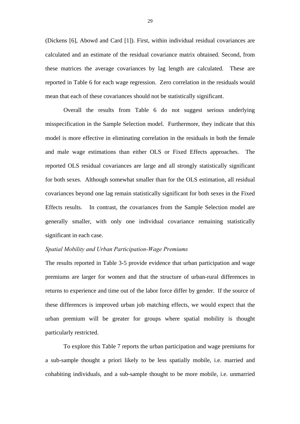(Dickens [6], Abowd and Card [1]). First, within individual residual covariances are calculated and an estimate of the residual covariance matrix obtained. Second, from these matrices the average covariances by lag length are calculated. These are reported in Table 6 for each wage regression. Zero correlation in the residuals would mean that each of these covariances should not be statistically significant.

Overall the results from Table 6 do not suggest serious underlying misspecification in the Sample Selection model. Furthermore, they indicate that this model is more effective in eliminating correlation in the residuals in both the female and male wage estimations than either OLS or Fixed Effects approaches. The reported OLS residual covariances are large and all strongly statistically significant for both sexes. Although somewhat smaller than for the OLS estimation, all residual covariances beyond one lag remain statistically significant for both sexes in the Fixed Effects results. In contrast, the covariances from the Sample Selection model are generally smaller, with only one individual covariance remaining statistically significant in each case.

## *Spatial Mobility and Urban Participation-Wage Premiums*

The results reported in Table 3-5 provide evidence that urban participation and wage premiums are larger for women and that the structure of urban-rural differences in returns to experience and time out of the labor force differ by gender. If the source of these differences is improved urban job matching effects, we would expect that the urban premium will be greater for groups where spatial mobility is thought particularly restricted.

To explore this Table 7 reports the urban participation and wage premiums for a sub-sample thought a priori likely to be less spatially mobile, i.e. married and cohabiting individuals, and a sub-sample thought to be more mobile, i.e. unmarried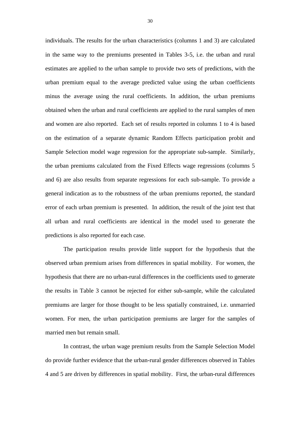individuals. The results for the urban characteristics (columns 1 and 3) are calculated in the same way to the premiums presented in Tables 3-5, i.e. the urban and rural estimates are applied to the urban sample to provide two sets of predictions, with the urban premium equal to the average predicted value using the urban coefficients minus the average using the rural coefficients. In addition, the urban premiums obtained when the urban and rural coefficients are applied to the rural samples of men and women are also reported. Each set of results reported in columns 1 to 4 is based on the estimation of a separate dynamic Random Effects participation probit and Sample Selection model wage regression for the appropriate sub-sample. Similarly, the urban premiums calculated from the Fixed Effects wage regressions (columns 5 and 6) are also results from separate regressions for each sub-sample. To provide a general indication as to the robustness of the urban premiums reported, the standard error of each urban premium is presented. In addition, the result of the joint test that all urban and rural coefficients are identical in the model used to generate the predictions is also reported for each case.

 The participation results provide little support for the hypothesis that the observed urban premium arises from differences in spatial mobility. For women, the hypothesis that there are no urban-rural differences in the coefficients used to generate the results in Table 3 cannot be rejected for either sub-sample, while the calculated premiums are larger for those thought to be less spatially constrained, i.e. unmarried women. For men, the urban participation premiums are larger for the samples of married men but remain small.

 In contrast, the urban wage premium results from the Sample Selection Model do provide further evidence that the urban-rural gender differences observed in Tables 4 and 5 are driven by differences in spatial mobility. First, the urban-rural differences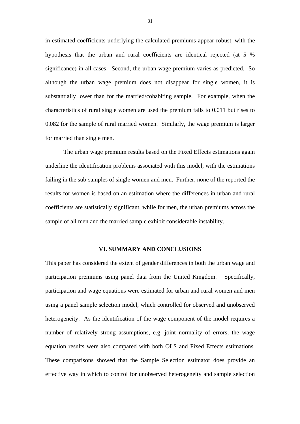in estimated coefficients underlying the calculated premiums appear robust, with the hypothesis that the urban and rural coefficients are identical rejected (at 5 % significance) in all cases. Second, the urban wage premium varies as predicted. So although the urban wage premium does not disappear for single women, it is substantially lower than for the married/cohabiting sample. For example, when the characteristics of rural single women are used the premium falls to 0.011 but rises to 0.082 for the sample of rural married women. Similarly, the wage premium is larger for married than single men.

 The urban wage premium results based on the Fixed Effects estimations again underline the identification problems associated with this model, with the estimations failing in the sub-samples of single women and men. Further, none of the reported the results for women is based on an estimation where the differences in urban and rural coefficients are statistically significant, while for men, the urban premiums across the sample of all men and the married sample exhibit considerable instability.

#### **VI. SUMMARY AND CONCLUSIONS**

This paper has considered the extent of gender differences in both the urban wage and participation premiums using panel data from the United Kingdom. Specifically, participation and wage equations were estimated for urban and rural women and men using a panel sample selection model, which controlled for observed and unobserved heterogeneity. As the identification of the wage component of the model requires a number of relatively strong assumptions, e.g. joint normality of errors, the wage equation results were also compared with both OLS and Fixed Effects estimations. These comparisons showed that the Sample Selection estimator does provide an effective way in which to control for unobserved heterogeneity and sample selection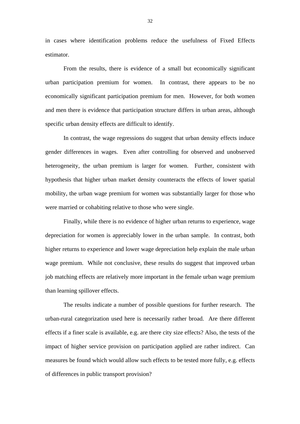in cases where identification problems reduce the usefulness of Fixed Effects estimator.

From the results, there is evidence of a small but economically significant urban participation premium for women. In contrast, there appears to be no economically significant participation premium for men. However, for both women and men there is evidence that participation structure differs in urban areas, although specific urban density effects are difficult to identify.

In contrast, the wage regressions do suggest that urban density effects induce gender differences in wages. Even after controlling for observed and unobserved heterogeneity, the urban premium is larger for women. Further, consistent with hypothesis that higher urban market density counteracts the effects of lower spatial mobility, the urban wage premium for women was substantially larger for those who were married or cohabiting relative to those who were single.

Finally, while there is no evidence of higher urban returns to experience, wage depreciation for women is appreciably lower in the urban sample. In contrast, both higher returns to experience and lower wage depreciation help explain the male urban wage premium. While not conclusive, these results do suggest that improved urban job matching effects are relatively more important in the female urban wage premium than learning spillover effects.

The results indicate a number of possible questions for further research. The urban-rural categorization used here is necessarily rather broad. Are there different effects if a finer scale is available, e.g. are there city size effects? Also, the tests of the impact of higher service provision on participation applied are rather indirect. Can measures be found which would allow such effects to be tested more fully, e.g. effects of differences in public transport provision?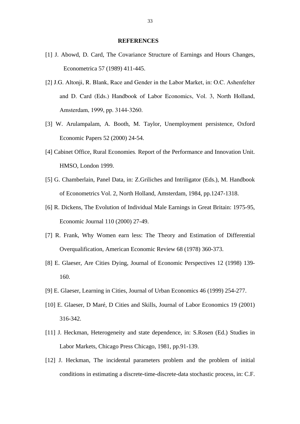#### **REFERENCES**

- [1] J. Abowd, D. Card, The Covariance Structure of Earnings and Hours Changes, Econometrica 57 (1989) 411-445.
- [2] J.G. Altonji, R. Blank, Race and Gender in the Labor Market, in: O.C. Ashenfelter and D. Card (Eds.) Handbook of Labor Economics, Vol. 3, North Holland, Amsterdam, 1999, pp. 3144-3260.
- [3] W. Arulampalam, A. Booth, M. Taylor, Unemployment persistence, Oxford Economic Papers 52 (2000) 24-54.
- [4] Cabinet Office, Rural Economies*.* Report of the Performance and Innovation Unit. HMSO, London 1999.
- [5] G. Chamberlain, Panel Data, in: Z.Griliches and Intriligator (Eds.), M. Handbook of Econometrics Vol. 2, North Holland, Amsterdam, 1984, pp.1247-1318.
- [6] R. Dickens, The Evolution of Individual Male Earnings in Great Britain: 1975-95, Economic Journal 110 (2000) 27-49.
- [7] R. Frank, Why Women earn less: The Theory and Estimation of Differential Overqualification, American Economic Review 68 (1978) 360-373.
- [8] E. Glaeser, Are Cities Dying, Journal of Economic Perspectives 12 (1998) 139- 160.
- [9] E. Glaeser, Learning in Cities, Journal of Urban Economics 46 (1999) 254-277.
- [10] E. Glaeser, D Maré, D Cities and Skills, Journal of Labor Economics 19 (2001) 316-342.
- [11] J. Heckman, Heterogeneity and state dependence, in: S.Rosen (Ed.) Studies in Labor Markets, Chicago Press Chicago, 1981, pp.91-139.
- [12] J. Heckman, The incidental parameters problem and the problem of initial conditions in estimating a discrete-time-discrete-data stochastic process, in: C.F.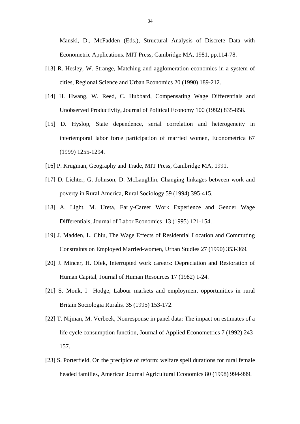Manski, D., McFadden (Eds.), Structural Analysis of Discrete Data with Econometric Applications. MIT Press, Cambridge MA, 1981, pp.114-78.

- [13] R. Hesley, W. Strange, Matching and agglomeration economies in a system of cities, Regional Science and Urban Economics 20 (1990) 189-212.
- [14] H. Hwang, W. Reed, C. Hubbard, Compensating Wage Differentials and Unobserved Productivity, Journal of Political Economy 100 (1992) 835-858.
- [15] D. Hyslop, State dependence, serial correlation and heterogeneity in intertemporal labor force participation of married women, Econometrica 67 (1999) 1255-1294.
- [16] P. Krugman, Geography and Trade, MIT Press, Cambridge MA, 1991.
- [17] D. Lichter, G. Johnson, D. McLaughlin, Changing linkages between work and poverty in Rural America, Rural Sociology 59 (1994) 395-415.
- [18] A. Light, M. Ureta, Early-Career Work Experience and Gender Wage Differentials, Journal of Labor Economics 13 (1995) 121-154.
- [19] J. Madden, L. Chiu, The Wage Effects of Residential Location and Commuting Constraints on Employed Married-women, Urban Studies 27 (1990) 353-369*.*
- [20] J. Mincer, H. Ofek, Interrupted work careers: Depreciation and Restoration of Human Capital*,* Journal of Human Resources 17 (1982) 1-24.
- [21] S. Monk, I Hodge, Labour markets and employment opportunities in rural Britain Sociologia Ruralis*,* 35 (1995) 153-172.
- [22] T. Nijman, M. Verbeek, Nonresponse in panel data: The impact on estimates of a life cycle consumption function, Journal of Applied Econometrics 7 (1992) 243- 157.
- [23] S. Porterfield, On the precipice of reform: welfare spell durations for rural female headed families, American Journal Agricultural Economics 80 (1998) 994-999.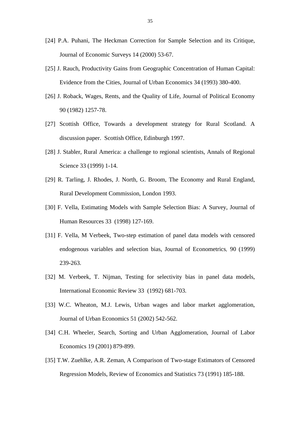- [24] P.A. Puhani, The Heckman Correction for Sample Selection and its Critique, Journal of Economic Surveys 14 (2000) 53-67.
- [25] J. Rauch, Productivity Gains from Geographic Concentration of Human Capital: Evidence from the Cities, Journal of Urban Economics 34 (1993) 380-400.
- [26] J. Roback, Wages, Rents, and the Quality of Life, Journal of Political Economy 90 (1982) 1257-78.
- [27] Scottish Office, Towards a development strategy for Rural Scotland. A discussion paper. Scottish Office, Edinburgh 1997.
- [28] J. Stabler, Rural America: a challenge to regional scientists, Annals of Regional Science 33 (1999) 1-14.
- [29] R. Tarling, J. Rhodes, J. North, G. Broom, The Economy and Rural England, Rural Development Commission, London 1993.
- [30] F. Vella, Estimating Models with Sample Selection Bias: A Survey, Journal of Human Resources 33 (1998) 127-169.
- [31] F. Vella, M Verbeek, Two-step estimation of panel data models with censored endogenous variables and selection bias, Journal of Econometrics*,* 90 (1999) 239-263.
- [32] M. Verbeek, T. Nijman, Testing for selectivity bias in panel data models, International Economic Review 33 (1992) 681-703.
- [33] W.C. Wheaton, M.J. Lewis, Urban wages and labor market agglomeration, Journal of Urban Economics 51 (2002) 542-562.
- [34] C.H. Wheeler, Search, Sorting and Urban Agglomeration, Journal of Labor Economics 19 (2001) 879-899.
- [35] T.W. Zuehlke, A.R. Zeman, A Comparison of Two-stage Estimators of Censored Regression Models, Review of Economics and Statistics 73 (1991) 185-188.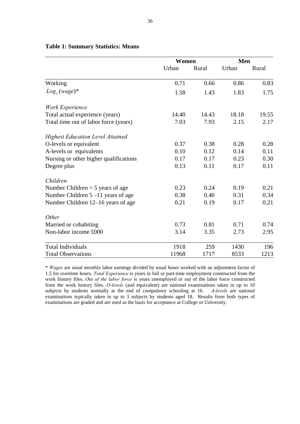|                                         | Women |       | Men   |       |  |
|-----------------------------------------|-------|-------|-------|-------|--|
|                                         | Urban | Rural | Urban | Rural |  |
| Working                                 | 0.71  | 0.66  | 0.86  | 0.83  |  |
| $Log_e(wage)^*$                         | 1.58  | 1.43  | 1.83  | 1.75  |  |
| Work Experience                         |       |       |       |       |  |
| Total actual experience (years)         | 14.40 | 14.43 | 18.18 | 19.55 |  |
| Total time out of labor force (years)   | 7.03  | 7.93  | 2.15  | 2.17  |  |
| <b>Highest Education Level Attained</b> |       |       |       |       |  |
| O-levels or equivalent                  | 0.37  | 0.38  | 0.28  | 0.28  |  |
| A-levels or equivalents                 | 0.10  | 0.12  | 0.14  | 0.11  |  |
| Nursing or other higher qualifications  | 0.17  | 0.17  | 0.23  | 0.30  |  |
| Degree plus                             | 0.13  | 0.11  | 0.17  | 0.11  |  |
| Children                                |       |       |       |       |  |
| Number Children $<$ 5 years of age      | 0.23  | 0.24  | 0.19  | 0.21  |  |
| Number Children $5-11$ years of age     | 0.38  | 0.40  | 0.31  | 0.34  |  |
| Number Children 12–16 years of age      | 0.21  | 0.19  | 0.17  | 0.21  |  |
| <b>Other</b>                            |       |       |       |       |  |
| Married or cohabiting                   | 0.73  | 0.81  | 0.71  | 0.74  |  |
| Non-labor income £000                   | 3.14  | 3.35  | 2.73  | 2.95  |  |
| <b>Total Individuals</b>                | 1918  | 259   | 1430  | 196   |  |
| <b>Total Observations</b>               | 11968 | 1717  | 8533  | 1213  |  |

## **Table 1: Summary Statistics: Means**

\* *Wages* are usual monthly labor earnings divided by usual hours worked with an adjustment factor of 1.5 for overtime hours. *Total Experience* is years in full or part-time employment constructed from the work history files. *Out of the labor force* is years unemployed or out of the labor force constructed from the work history files. *O-levels* (and equivalent) are national examinations taken in up to 10 subjects by students normally at the end of compulsory schooling at 16. *A-levels* are national examinations typically taken in up to 3 subjects by students aged 18. Results from both types of examinations are graded and are used as the basis for acceptance at College or University.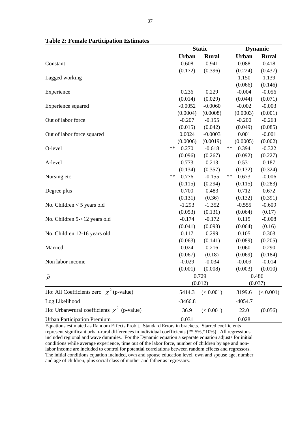|                                                 |            |                     | <b>Static</b>    | <b>Dynamic</b>      |                     |  |
|-------------------------------------------------|------------|---------------------|------------------|---------------------|---------------------|--|
|                                                 |            | <b>Urban</b>        | <b>Rural</b>     | <b>Urban</b>        | <b>Rural</b>        |  |
| Constant                                        |            | 0.608               | 0.941            | 0.088               | 0.418               |  |
|                                                 |            | (0.172)             | (0.396)          | (0.224)             | (0.437)             |  |
| Lagged working                                  |            |                     |                  | 1.150               | 1.139               |  |
|                                                 |            |                     |                  | (0.066)             | (0.146)             |  |
| Experience                                      |            | 0.236               | 0.229            | $-0.004$            | $-0.056$            |  |
|                                                 |            | (0.014)             | (0.029)          | (0.044)             | (0.071)             |  |
| Experience squared                              |            | $-0.0052$           | $-0.0060$        | $-0.002$            | $-0.003$            |  |
|                                                 |            | (0.0004)            | (0.0008)         | (0.0003)            | (0.001)             |  |
| Out of labor force                              |            | $-0.207$            | $-0.155$         | $-0.200$            | $-0.263$            |  |
|                                                 |            | (0.015)             | (0.042)          | (0.049)             | (0.085)             |  |
| Out of labor force squared                      |            | 0.0024              | $-0.0003$        | 0.001               | $-0.001$            |  |
|                                                 |            | (0.0006)            | (0.0019)         | (0.0005)            | (0.002)             |  |
| O-level                                         | $\ast\ast$ | 0.270               | $-0.618$         | $***$<br>0.394      | $-0.322$            |  |
|                                                 |            | (0.096)             | (0.267)          | (0.092)             | (0.227)             |  |
| A-level                                         |            | 0.773               | 0.213            | 0.531               | 0.187               |  |
|                                                 |            | (0.134)             | (0.357)          | (0.132)             | (0.324)             |  |
| Nursing etc                                     | $\ast\ast$ | 0.776               | $-0.155$         | $***$<br>0.673      | $-0.006$            |  |
|                                                 |            | (0.115)             | (0.294)          | (0.115)             | (0.283)             |  |
| Degree plus                                     |            | 0.700               | 0.483            | 0.712               | 0.672               |  |
|                                                 |            | (0.131)             | (0.36)           | (0.132)             | (0.391)             |  |
| No. Children $<$ 5 years old                    |            | $-1.293$            | $-1.352$         | $-0.555$            | $-0.609$            |  |
|                                                 |            | (0.053)             | (0.131)          | (0.064)             | (0.17)              |  |
| No. Children 5-<12 years old                    |            | $-0.174$            | $-0.172$         | 0.115               | $-0.008$            |  |
|                                                 |            | (0.041)             | (0.093)          | (0.064)             | (0.16)              |  |
| No. Children 12-16 years old                    |            | 0.117               | 0.299            | 0.105               | 0.303               |  |
| Married                                         |            | (0.063)<br>0.024    | (0.141)<br>0.216 | (0.089)<br>0.060    | (0.205)             |  |
|                                                 |            |                     | (0.18)           |                     | 0.290               |  |
| Non labor income                                |            | (0.067)<br>$-0.029$ | $-0.034$         | (0.069)<br>$-0.009$ | (0.184)<br>$-0.014$ |  |
|                                                 |            | (0.001)             | (0.008)          | (0.003)             | (0.010)             |  |
|                                                 |            |                     | 0.729            |                     | 0.486               |  |
| $\hat{\rho}$                                    |            |                     | (0.012)          |                     | (0.037)             |  |
|                                                 |            |                     |                  |                     |                     |  |
| Ho: All Coefficients zero $\chi^2$ (p-value)    |            | 5414.3              | (< 0.001)        | 3199.6              | (< 0.001)           |  |
| Log Likelihood                                  |            | $-3466.8$           |                  | $-4054.7$           |                     |  |
| Ho: Urban=rural coefficients $\chi^2$ (p-value) |            | 36.9                | (< 0.001)        | 22.0                | (0.056)             |  |
| <b>Urban Participation Premium</b>              |            | 0.031               |                  | 0.028               |                     |  |

## **Table 2: Female Participation Estimates**

Equations estimated as Random Effects Probit. Standard Errors in brackets. Starred coefficients represent significant urban-rural differences in individual coefficients (\*\* 5%,\*10%) . All regressions included regional and wave dummies. For the Dynamic equation a separate equation adjusts for initial conditions while average experience, time out of the labor force, number of children by age and nonlabor income are included to control for potential correlations between random effects and regressors. The initial conditions equation included, own and spouse education level, own and spouse age, number and age of children, plus social class of mother and father as regressors.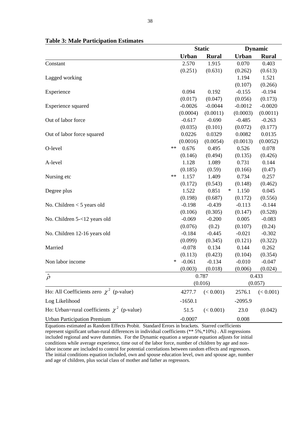|                                                 |      |                  | <b>Static</b> | <b>Dynamic</b>  |              |  |
|-------------------------------------------------|------|------------------|---------------|-----------------|--------------|--|
|                                                 |      | <b>Urban</b>     | <b>Rural</b>  | <b>Urban</b>    | <b>Rural</b> |  |
| Constant                                        |      | 2.570            | 1.915         | 0.070           | 0.403        |  |
|                                                 |      | (0.251)          | (0.631)       | (0.262)         | (0.613)      |  |
| Lagged working                                  |      |                  |               | 1.194           | 1.521        |  |
|                                                 |      |                  |               | (0.107)         | (0.266)      |  |
| Experience                                      |      | 0.094            | 0.192         | $-0.155$        | $-0.194$     |  |
|                                                 |      | (0.017)          | (0.047)       | (0.056)         | (0.173)      |  |
| Experience squared                              |      | $-0.0026$        | $-0.0044$     | $-0.0012$       | $-0.0020$    |  |
|                                                 |      | (0.0004)         | (0.0011)      | (0.0003)        | (0.0011)     |  |
| Out of labor force                              |      | $-0.617$         | $-0.690$      | $-0.485$        | $-0.263$     |  |
|                                                 |      | (0.035)          | (0.101)       | (0.072)         | (0.177)      |  |
| Out of labor force squared                      |      | 0.0226           | 0.0329        | 0.0082          | 0.0135       |  |
|                                                 |      | (0.0016)         | (0.0054)      | (0.0013)        | (0.0052)     |  |
| O-level                                         | $**$ | 0.676            | 0.495         | 0.526           | 0.078        |  |
|                                                 |      | (0.146)          | (0.494)       | (0.135)         | (0.426)      |  |
| A-level                                         |      | 1.128            | 1.089         | 0.731           | 0.144        |  |
|                                                 |      | (0.185)          | (0.59)        | (0.166)         | (0.47)       |  |
| Nursing etc                                     | $**$ | 1.157            | 1.409         | 0.734           | 0.257        |  |
|                                                 |      | (0.172)          | (0.543)       | (0.148)         | (0.462)      |  |
| Degree plus                                     |      | 1.522            | 0.851         | $\ast$<br>1.150 | 0.045        |  |
|                                                 |      | (0.198)          | (0.687)       | (0.172)         | (0.556)      |  |
| No. Children $<$ 5 years old                    |      | $-0.198$         | $-0.439$      | $-0.113$        | $-0.144$     |  |
|                                                 |      | (0.106)          | (0.305)       | (0.147)         | (0.528)      |  |
| No. Children 5-<12 years old                    |      | $-0.069$         | $-0.200$      | 0.005           | $-0.083$     |  |
|                                                 |      | (0.076)          | (0.2)         | (0.107)         | (0.24)       |  |
| No. Children 12-16 years old                    |      | $-0.184$         | $-0.445$      | $-0.021$        | $-0.302$     |  |
|                                                 |      | (0.099)          | (0.345)       | (0.121)         | (0.322)      |  |
| Married                                         |      | $-0.078$         | 0.134         | 0.144           | 0.262        |  |
|                                                 | ∗    | (0.113)          | (0.423)       | (0.104)         | (0.354)      |  |
| Non labor income                                |      | $-0.061$         | $-0.134$      | $-0.010$        | $-0.047$     |  |
|                                                 |      | (0.003)          | (0.018)       | (0.006)         | (0.024)      |  |
| $\hat{\rho}$                                    |      | 0.787<br>(0.016) |               |                 | 0.433        |  |
|                                                 |      |                  |               |                 | (0.057)      |  |
| Ho: All Coefficients zero $\chi^2$ (p-value)    |      | 4277.7           | (< 0.001)     | 2576.1          | (< 0.001)    |  |
| Log Likelihood                                  |      | $-1650.1$        |               | $-2095.9$       |              |  |
| Ho: Urban=rural coefficients $\chi^2$ (p-value) |      | 51.5             | (< 0.001)     | 23.0            | (0.042)      |  |
| <b>Urban Participation Premium</b>              |      | $-0.0007$        |               | 0.008           |              |  |

## **Table 3: Male Participation Estimates**

Equations estimated as Random Effects Probit. Standard Errors in brackets. Starred coefficients represent significant urban-rural differences in individual coefficients (\*\* 5%,\*10%) . All regressions included regional and wave dummies. For the Dynamic equation a separate equation adjusts for initial conditions while average experience, time out of the labor force, number of children by age and nonlabor income are included to control for potential correlations between random effects and regressors. The initial conditions equation included, own and spouse education level, own and spouse age, number and age of children, plus social class of mother and father as regressors.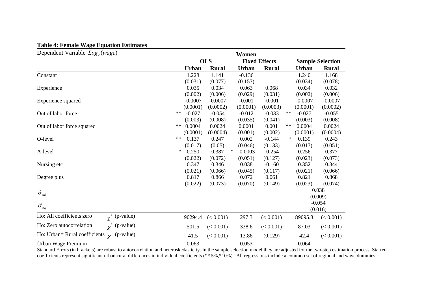## **Table 4: Female Wage Equation Estimates**

| Dependent Variable $Log_e(wage)$                 |                   |              | <b>Women</b>   |                      |                         |              |  |
|--------------------------------------------------|-------------------|--------------|----------------|----------------------|-------------------------|--------------|--|
|                                                  |                   | <b>OLS</b>   |                | <b>Fixed Effects</b> | <b>Sample Selection</b> |              |  |
|                                                  | <b>Urban</b>      | <b>Rural</b> | <b>Urban</b>   | <b>Rural</b>         | <b>Urban</b>            | <b>Rural</b> |  |
| Constant                                         | 1.228             | 1.141        | $-0.136$       |                      | 1.240                   | 1.168        |  |
|                                                  | (0.031)           | (0.077)      | (0.157)        |                      | (0.034)                 | (0.078)      |  |
| Experience                                       | 0.035             | 0.034        | 0.063          | 0.068                | 0.034                   | 0.032        |  |
|                                                  | (0.002)           | (0.006)      | (0.029)        | (0.031)              | (0.002)                 | (0.006)      |  |
| Experience squared                               | $-0.0007$         | $-0.0007$    | $-0.001$       | $-0.001$             | $-0.0007$               | $-0.0007$    |  |
|                                                  | (0.0001)          | (0.0002)     | (0.0001)       | (0.0003)             | (0.0001)                | (0.0002)     |  |
| Out of labor force                               | $***$<br>$-0.027$ | $-0.054$     | $-0.012$       | $-0.033$             | $***$<br>$-0.027$       | $-0.055$     |  |
|                                                  | (0.003)           | (0.008)      | (0.035)        | (0.041)              | (0.003)                 | (0.008)      |  |
| Out of labor force squared                       | $***$<br>0.0004   | 0.0024       | 0.0001         | 0.001                | $***$<br>0.0004         | 0.0024       |  |
|                                                  | (0.0001)          | (0.0004)     | (0.001)        | (0.002)              | (0.0001)                | (0.0004)     |  |
| O-level                                          | $***$<br>0.137    | 0.247        | 0.002          | $-0.144$             | $\ast$<br>0.139         | 0.243        |  |
|                                                  | (0.017)           | (0.05)       | (0.046)        | (0.133)              | (0.017)                 | (0.051)      |  |
| A-level                                          | 0.250<br>$\ast$   | 0.387        | ∗<br>$-0.0003$ | $-0.254$             | 0.256                   | 0.377        |  |
|                                                  | (0.022)           | (0.072)      | (0.051)        | (0.127)              | (0.023)                 | (0.073)      |  |
| Nursing etc                                      | 0.347             | 0.346        | 0.038          | $-0.160$             | 0.352                   | 0.344        |  |
|                                                  | (0.021)           | (0.066)      | (0.045)        | (0.117)              | (0.021)                 | (0.066)      |  |
| Degree plus                                      | 0.817             | 0.866        | 0.072          | 0.061                | 0.821                   | 0.868        |  |
|                                                  | (0.022)           | (0.073)      | (0.070)        | (0.149)              | (0.023)                 | (0.074)      |  |
| $\hat{\sigma}_{\alpha\theta}$                    |                   |              |                |                      |                         | 0.038        |  |
|                                                  |                   |              |                |                      |                         | (0.009)      |  |
| $\hat{\sigma}_{_{e\eta}}$                        |                   |              |                |                      |                         | $-0.054$     |  |
|                                                  |                   |              |                |                      |                         | (0.016)      |  |
| Ho: All coefficients zero<br>$\chi^2$ (p-value)  | 90294.4           | (< 0.001)    | 297.3          | (< 0.001)            | 89095.8                 | (< 0.001)    |  |
| $\chi^2$ (p-value)<br>Ho: Zero autocorrelation   | 501.5             | (< 0.001)    | 338.6          | (< 0.001)            | 87.03                   | (< 0.001)    |  |
| Ho: Urban= Rural coefficients $\chi^2$ (p-value) | 41.5              | (< 0.001)    | 13.86          | (0.129)              | 42.4                    | (< 0.001)    |  |
| Urban Wage Premium                               | 0.063             |              | 0.053          |                      | 0.064                   |              |  |

Standard Errors (in brackets) are robust to autocorrelation and heteroskedasticity. In the sample selection model they are adjusted for the two-step estimation process. Starred coefficients represent significant urban-rural differences in individual coefficients (\*\* 5%,\*10%). All regressions include a common set of regional and wave dummies.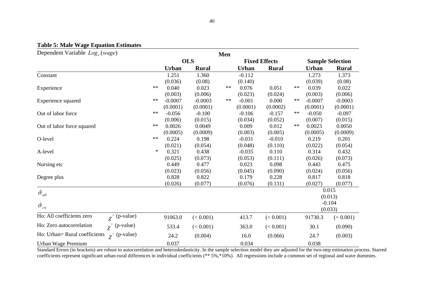## **Table 5: Male Wage Equation Estimates**

| Dependent Variable $Log_e(wage)$ |                    |            |                   |                   | Men   |                     |                      |       |                   |                         |
|----------------------------------|--------------------|------------|-------------------|-------------------|-------|---------------------|----------------------|-------|-------------------|-------------------------|
|                                  |                    |            |                   | <b>OLS</b>        |       |                     | <b>Fixed Effects</b> |       |                   | <b>Sample Selection</b> |
|                                  |                    |            | Urban             | <b>Rural</b>      |       | <b>Urban</b>        | <b>Rural</b>         |       | <b>Urban</b>      | <b>Rural</b>            |
| Constant                         |                    |            | 1.251             | 1.360             |       | $-0.112$            |                      |       | 1.273             | 1.373                   |
|                                  |                    |            | (0.036)           | (0.08)            |       | (0.140)             |                      |       | (0.039)           | (0.08)                  |
| Experience                       |                    | $\ast\ast$ | 0.040             | 0.023             | $***$ | 0.076               | 0.051                | $***$ | 0.039             | 0.022                   |
|                                  |                    |            | (0.003)           | (0.006)           |       | (0.023)             | (0.024)              |       | (0.003)           | (0.006)                 |
| Experience squared               |                    | $***$      | $-0.0007$         | $-0.0003$         | $***$ | $-0.001$            | 0.000                | $***$ | $-0.0007$         | $-0.0003$               |
|                                  |                    |            | (0.0001)          | (0.0001)          |       | (0.0001)            | (0.0002)             |       | (0.0001)          | (0.0001)                |
| Out of labor force               |                    | $\ast\ast$ | $-0.056$          | $-0.100$          |       | $-0.106$            | $-0.157$             | $***$ | $-0.050$          | $-0.097$                |
|                                  |                    | $**$       | (0.006)           | (0.015)           |       | (0.034)             | (0.052)              |       | (0.007)           | (0.015)                 |
| Out of labor force squared       |                    |            | 0.0026            | 0.0049            |       | 0.009               | 0.012                | $***$ | 0.0023            | 0.0050                  |
|                                  |                    | $**$       | (0.0005)<br>0.224 | (0.0009)<br>0.198 |       | (0.003)             | (0.005)              |       | (0.0005)<br>0.219 | (0.0009)                |
| O-level                          |                    |            | (0.021)           | (0.054)           |       | $-0.031$<br>(0.048) | $-0.010$<br>(0.110)  |       | (0.022)           | 0.201<br>(0.054)        |
| A-level                          |                    | $\ast$     | 0.321             | 0.438             |       | $-0.035$            | 0.110                |       | 0.314             | 0.432                   |
|                                  |                    |            | (0.025)           | (0.073)           |       | (0.053)             | (0.111)              |       | (0.026)           | (0.073)                 |
| Nursing etc                      |                    |            | 0.449             | 0.477             |       | 0.023               | 0.098                |       | 0.443             | 0.475                   |
|                                  |                    |            | (0.023)           | (0.056)           |       | (0.045)             | (0.090)              |       | (0.024)           | (0.056)                 |
| Degree plus                      |                    |            | 0.828             | 0.822             |       | 0.179               | 0.228                |       | 0.817             | 0.818                   |
|                                  |                    |            | (0.026)           | (0.077)           |       | (0.076)             | (0.131)              |       | (0.027)           | (0.077)                 |
| $\hat{\sigma}_{\alpha\theta}$    |                    |            |                   |                   |       |                     |                      |       |                   | 0.015                   |
|                                  |                    |            |                   |                   |       |                     |                      |       |                   | (0.013)                 |
| $\hat{\sigma}_{_{e\eta}}$        |                    |            |                   |                   |       |                     |                      |       |                   | $-0.104$                |
|                                  |                    |            |                   |                   |       |                     |                      |       |                   | (0.033)                 |
| Ho: All coefficients zero        | $\chi^2$ (p-value) |            | 91063.0           | (< 0.001)         |       | 413.7               | (< 0.001)            |       | 91730.3           | (< 0.001)               |
| Ho: Zero autocorrelation         | $\chi^2$ (p-value) |            | 533.4             | (< 0.001)         |       | 363.0               | (< 0.001)            |       | 30.1              | (0.090)                 |
| Ho: Urban= Rural coefficients    | $\chi^2$ (p-value) |            | 24.2              | (0.004)           |       | 16.0                | (0.066)              |       | 24.7              | (0.003)                 |
| Urban Wage Premium               |                    |            | 0.037             |                   |       | 0.034               |                      |       | 0.038             |                         |

Standard Errors (in brackets) are robust to autocorrelation and heteroskedasticity. In the sample selection model they are adjusted for the two-step estimation process. Starred coefficients represent significant urban-rural differences in individual coefficients (\*\* 5%,\*10%). All regressions include a common set of regional and wave dummies.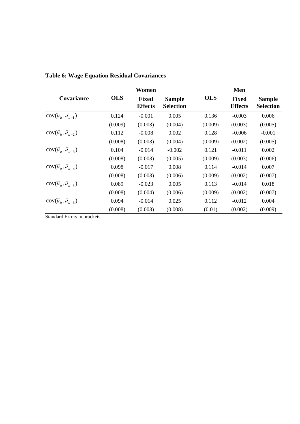|                                             |            | Women                          |                                   |            | Men                            |                                   |  |
|---------------------------------------------|------------|--------------------------------|-----------------------------------|------------|--------------------------------|-----------------------------------|--|
| Covariance                                  | <b>OLS</b> | <b>Fixed</b><br><b>Effects</b> | <b>Sample</b><br><b>Selection</b> | <b>OLS</b> | <b>Fixed</b><br><b>Effects</b> | <b>Sample</b><br><b>Selection</b> |  |
| $cov(\hat{u}_{it}, \hat{u}_{it-1})$         | 0.124      | $-0.001$                       | 0.005                             | 0.136      | $-0.003$                       | 0.006                             |  |
|                                             | (0.009)    | (0.003)                        | (0.004)                           | (0.009)    | (0.003)                        | (0.005)                           |  |
| $cov(\hat{u}_{it}, \hat{u}_{it-2})$         | 0.112      | $-0.008$                       | 0.002                             | 0.128      | $-0.006$                       | $-0.001$                          |  |
|                                             | (0.008)    | (0.003)                        | (0.004)                           | (0.009)    | (0.002)                        | (0.005)                           |  |
| $cov(\widehat{u}_{it}, \widehat{u}_{it-3})$ | 0.104      | $-0.014$                       | $-0.002$                          | 0.121      | $-0.011$                       | 0.002                             |  |
|                                             | (0.008)    | (0.003)                        | (0.005)                           | (0.009)    | (0.003)                        | (0.006)                           |  |
| $cov(\widehat{u}_{it}, \widehat{u}_{it-4})$ | 0.098      | $-0.017$                       | 0.008                             | 0.114      | $-0.014$                       | 0.007                             |  |
|                                             | (0.008)    | (0.003)                        | (0.006)                           | (0.009)    | (0.002)                        | (0.007)                           |  |
| $cov(\widehat{u}_{it}, \widehat{u}_{it-5})$ | 0.089      | $-0.023$                       | 0.005                             | 0.113      | $-0.014$                       | 0.018                             |  |
|                                             | (0.008)    | (0.004)                        | (0.006)                           | (0.009)    | (0.002)                        | (0.007)                           |  |
| $cov(\widehat{u}_{it}, \widehat{u}_{it-6})$ | 0.094      | $-0.014$                       | 0.025                             | 0.112      | $-0.012$                       | 0.004                             |  |
|                                             | (0.008)    | (0.003)                        | (0.008)                           | (0.01)     | (0.002)                        | (0.009)                           |  |

**Table 6: Wage Equation Residual Covariances** 

Standard Errors in brackets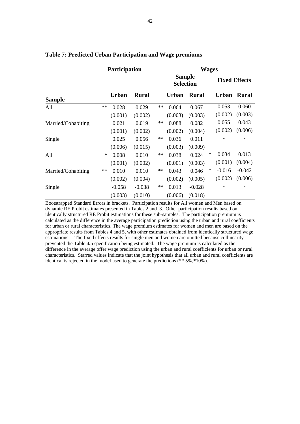|                    |        | <b>Wages</b>  |              |            |                                   |              |        |                      |              |  |
|--------------------|--------|---------------|--------------|------------|-----------------------------------|--------------|--------|----------------------|--------------|--|
|                    |        | Participation |              |            | <b>Sample</b><br><b>Selection</b> |              |        | <b>Fixed Effects</b> |              |  |
| <b>Sample</b>      |        | <b>Urban</b>  | <b>Rural</b> |            | Urban                             | <b>Rural</b> |        | <b>Urban</b>         | <b>Rural</b> |  |
| All                | $***$  | 0.028         | 0.029        | $***$      | 0.064                             | 0.067        |        | 0.053                | 0.060        |  |
|                    |        | (0.001)       | (0.002)      |            | (0.003)                           | (0.003)      |        | (0.002)              | (0.003)      |  |
| Married/Cohabiting |        | 0.021         | 0.019        | $**$       | 0.088                             | 0.082        |        | 0.055                | 0.043        |  |
|                    |        | (0.001)       | (0.002)      |            | (0.002)                           | (0.004)      |        | (0.002)              | (0.006)      |  |
| Single             |        | 0.025         | 0.056        | $***$      | 0.036                             | 0.011        |        |                      |              |  |
|                    |        | (0.006)       | (0.015)      |            | (0.003)                           | (0.009)      |        |                      |              |  |
| All                | $\ast$ | 0.008         | 0.010        | $**$       | 0.038                             | 0.024        | $\ast$ | 0.034                | 0.013        |  |
|                    |        | (0.001)       | (0.002)      |            | (0.001)                           | (0.003)      |        | (0.001)              | (0.004)      |  |
| Married/Cohabiting | $***$  | 0.010         | 0.010        | $***$      | 0.043                             | 0.046        | ∗      | $-0.016$             | $-0.042$     |  |
|                    |        | (0.002)       | (0.004)      |            | (0.002)                           | (0.005)      |        | (0.002)              | (0.006)      |  |
| Single             |        | $-0.058$      | $-0.038$     | $\ast\ast$ | 0.013                             | $-0.028$     |        |                      |              |  |
|                    |        | (0.003)       | (0.010)      |            | (0.006)                           | (0.018)      |        |                      |              |  |

## **Table 7: Predicted Urban Participation and Wage premiums**

Bootstrapped Standard Errors in brackets. Participation results for All women and Men based on dynamic RE Probit estimates presented in Tables 2 and 3. Other participation results based on identically structured RE Probit estimations for these sub-samples. The participation premium is calculated as the difference in the average participation prediction using the urban and rural coefficients for urban or rural characteristics. The wage premium estimates for women and men are based on the appropriate results from Tables 4 and 5, with other estimates obtained from identically structured wage estimations. The fixed effects results for single men and women are omitted because collinearity prevented the Table 4/5 specification being estimated. The wage premium is calculated as the difference in the average offer wage prediction using the urban and rural coefficients for urban or rural characteristics. Starred values indicate that the joint hypothesis that all urban and rural coefficients are identical is rejected in the model used to generate the predictions (\*\* 5%,\*10%).